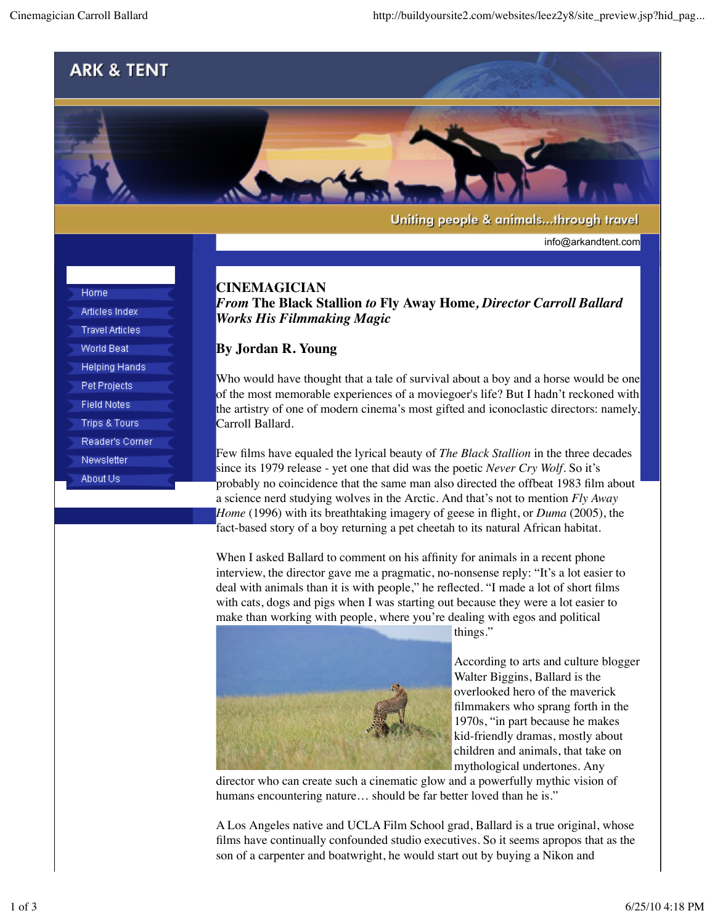

Uniting people & animals...through travel

info@arkandtent.com

## **CINEMAGICIAN**

*From* **The Black Stallion** *to* **Fly Away Home***, Director Carroll Ballard Works His Filmmaking Magic*

## **By Jordan R. Young**

Who would have thought that a tale of survival about a boy and a horse would be one of the most memorable experiences of a moviegoer's life? But I hadn't reckoned with the artistry of one of modern cinema's most gifted and iconoclastic directors: namely, Carroll Ballard.

Few films have equaled the lyrical beauty of *The Black Stallion* in the three decades since its 1979 release - yet one that did was the poetic *Never Cry Wolf*. So it's probably no coincidence that the same man also directed the offbeat 1983 film about a science nerd studying wolves in the Arctic. And that's not to mention *Fly Away Home* (1996) with its breathtaking imagery of geese in flight, or *Duma* (2005), the fact-based story of a boy returning a pet cheetah to its natural African habitat.

When I asked Ballard to comment on his affinity for animals in a recent phone interview, the director gave me a pragmatic, no-nonsense reply: "It's a lot easier to deal with animals than it is with people," he reflected. "I made a lot of short films with cats, dogs and pigs when I was starting out because they were a lot easier to make than working with people, where you're dealing with egos and political



things."

According to arts and culture blogger Walter Biggins, Ballard is the overlooked hero of the maverick filmmakers who sprang forth in the 1970s, "in part because he makes kid-friendly dramas, mostly about children and animals, that take on mythological undertones. Any

director who can create such a cinematic glow and a powerfully mythic vision of humans encountering nature... should be far better loved than he is."

A Los Angeles native and UCLA Film School grad, Ballard is a true original, whose films have continually confounded studio executives. So it seems apropos that as the son of a carpenter and boatwright, he would start out by buying a Nikon and

| Home                   |
|------------------------|
| Articles Index         |
| <b>Travel Articles</b> |
| World Beat             |
| Helping Hands          |
| <b>Pet Projects</b>    |
| <b>Field Notes</b>     |
| Trips & Tours          |
| Reader's Corner        |
| Newsletter             |
| About Us               |
|                        |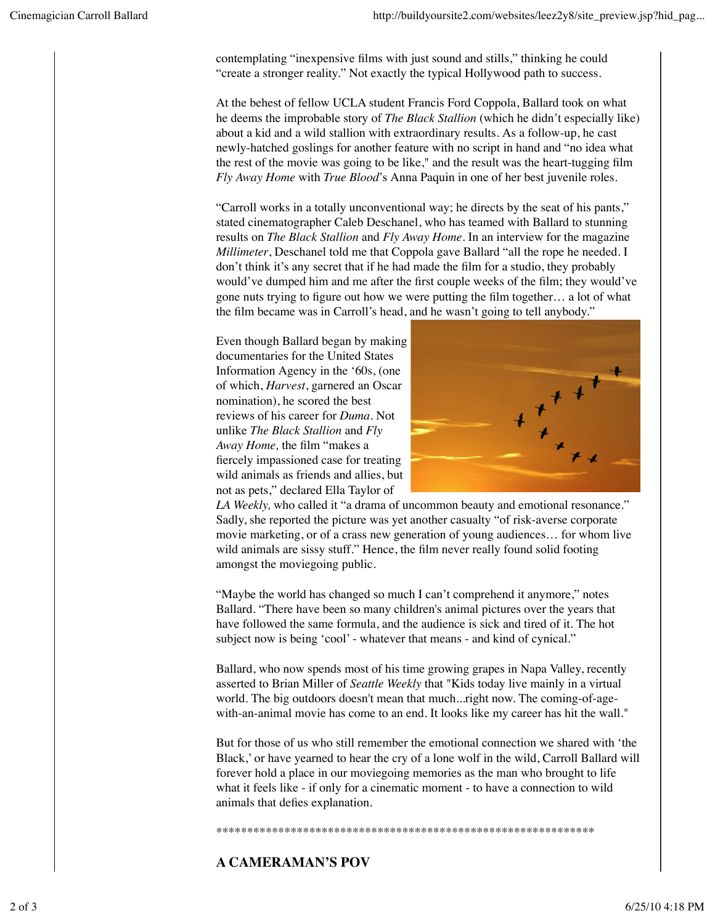contemplating "inexpensive films with just sound and stills," thinking he could "create a stronger reality." Not exactly the typical Hollywood path to success.

At the behest of fellow UCLA student Francis Ford Coppola, Ballard took on what he deems the improbable story of *The Black Stallion* (which he didn't especially like) about a kid and a wild stallion with extraordinary results. As a follow-up, he cast newly-hatched goslings for another feature with no script in hand and "no idea what the rest of the movie was going to be like," and the result was the heart-tugging film *Fly Away Home* with *True Blood*'s Anna Paquin in one of her best juvenile roles.

"Carroll works in a totally unconventional way; he directs by the seat of his pants," stated cinematographer Caleb Deschanel, who has teamed with Ballard to stunning results on *The Black Stallion* and *Fly Away Home*. In an interview for the magazine *Millimeter*, Deschanel told me that Coppola gave Ballard "all the rope he needed. I don't think it's any secret that if he had made the film for a studio, they probably would've dumped him and me after the first couple weeks of the film; they would've gone nuts trying to figure out how we were putting the film together… a lot of what the film became was in Carroll's head, and he wasn't going to tell anybody."

Even though Ballard began by making documentaries for the United States Information Agency in the '60s, (one of which, *Harvest*, garnered an Oscar nomination), he scored the best reviews of his career for *Duma*. Not unlike *The Black Stallion* and *Fly Away Home,* the film "makes a fiercely impassioned case for treating wild animals as friends and allies, but not as pets," declared Ella Taylor of



*LA Weekly,* who called it "a drama of uncommon beauty and emotional resonance." Sadly, she reported the picture was yet another casualty "of risk-averse corporate movie marketing, or of a crass new generation of young audiences… for whom live wild animals are sissy stuff." Hence, the film never really found solid footing amongst the moviegoing public.

"Maybe the world has changed so much I can't comprehend it anymore," notes Ballard. "There have been so many children's animal pictures over the years that have followed the same formula, and the audience is sick and tired of it. The hot subject now is being 'cool' - whatever that means - and kind of cynical."

Ballard, who now spends most of his time growing grapes in Napa Valley, recently asserted to Brian Miller of *Seattle Weekly* that "Kids today live mainly in a virtual world. The big outdoors doesn't mean that much...right now. The coming-of-agewith-an-animal movie has come to an end. It looks like my career has hit the wall."

But for those of us who still remember the emotional connection we shared with 'the Black,' or have yearned to hear the cry of a lone wolf in the wild, Carroll Ballard will forever hold a place in our moviegoing memories as the man who brought to life what it feels like - if only for a cinematic moment - to have a connection to wild animals that defies explanation.

\*\*\*\*\*\*\*\*\*\*\*\*\*\*\*\*\*\*\*\*\*\*\*\*\*\*\*\*\*\*\*\*\*\*\*\*\*\*\*\*\*\*\*\*\*\*\*\*\*\*\*\*\*\*\*\*\*\*\*\*\*

## **A CAMERAMAN'S POV**